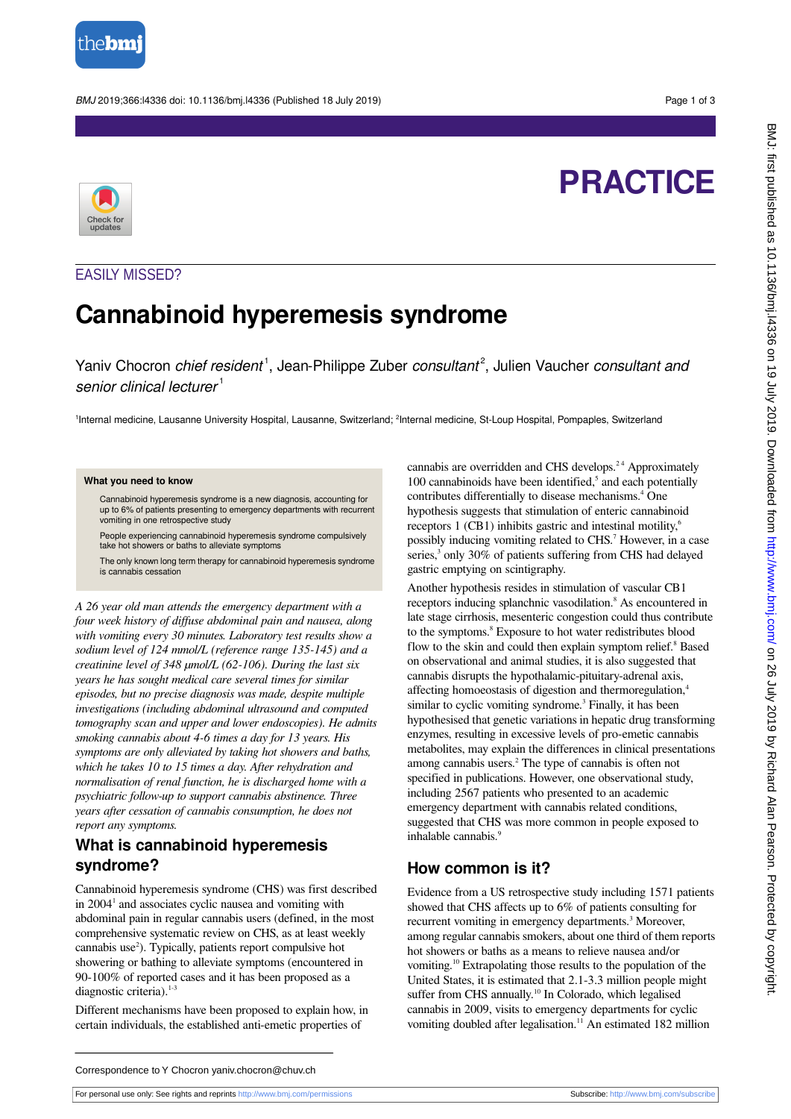

#### BMJ 2019;366:l4336 doi: 10.1136/bmj.l4336 (Published 18 July 2019) Page 1 of 3

# **PRACTICE**



#### EASILY MISSED?

# **Cannabinoid hyperemesis syndrome**

Yaniv Chocron chief resident<sup>1</sup>, Jean-Philippe Zuber consultant<sup>2</sup>, Julien Vaucher consultant and senior clinical lecturer $1$ 

<sup>1</sup>Internal medicine, Lausanne University Hospital, Lausanne, Switzerland; <sup>2</sup>Internal medicine, St-Loup Hospital, Pompaples, Switzerland

#### **What you need to know**

Cannabinoid hyperemesis syndrome is a new diagnosis, accounting for up to 6% of patients presenting to emergency departments with recurrent vomiting in one retrospective study

People experiencing cannabinoid hyperemesis syndrome compulsively take hot showers or baths to alleviate symptoms

The only known long term therapy for cannabinoid hyperemesis syndrome is cannabis cessation

*A 26 year old man attends the emergency department with a four week history of diffuse abdominal pain and nausea, along with vomiting every 30 minutes. Laboratory test results show a sodium level of 124 mmol/L (reference range 135-145) and a creatinine level of 348 µmol/L (62-106). During the last six years he has sought medical care several times for similar episodes, but no precise diagnosis was made, despite multiple investigations (including abdominal ultrasound and computed tomography scan and upper and lower endoscopies). He admits smoking cannabis about 4-6 times a day for 13 years. His symptoms are only alleviated by taking hot showers and baths, which he takes 10 to 15 times a day. After rehydration and normalisation of renal function, he is discharged home with a psychiatric follow-up to support cannabis abstinence. Three years after cessation of cannabis consumption, he does not report any symptoms.*

#### **What is cannabinoid hyperemesis syndrome?**

Cannabinoid hyperemesis syndrome (CHS) was first described in 2004<sup>1</sup> and associates cyclic nausea and vomiting with abdominal pain in regular cannabis users (defined, in the most comprehensive systematic review on CHS, as at least weekly cannabis use<sup>2</sup>). Typically, patients report compulsive hot showering or bathing to alleviate symptoms (encountered in 90-100% of reported cases and it has been proposed as a diagnostic criteria).<sup>1-3</sup>

Different mechanisms have been proposed to explain how, in certain individuals, the established anti-emetic properties of

cannabis are overridden and CHS develops.<sup>24</sup> Approximately 100 cannabinoids have been identified,<sup>5</sup> and each potentially contributes differentially to disease mechanisms.<sup>4</sup> One hypothesis suggests that stimulation of enteric cannabinoid receptors 1 (CB1) inhibits gastric and intestinal motility,<sup>6</sup> possibly inducing vomiting related to CHS.<sup>7</sup> However, in a case series,<sup>3</sup> only 30% of patients suffering from CHS had delayed gastric emptying on scintigraphy.

Another hypothesis resides in stimulation of vascular CB1 receptors inducing splanchnic vasodilation.<sup>8</sup> As encountered in late stage cirrhosis, mesenteric congestion could thus contribute to the symptoms.<sup>8</sup> Exposure to hot water redistributes blood flow to the skin and could then explain symptom relief.<sup>8</sup> Based on observational and animal studies, it is also suggested that cannabis disrupts the hypothalamic-pituitary-adrenal axis, affecting homoeostasis of digestion and thermoregulation,<sup>4</sup> similar to cyclic vomiting syndrome.<sup>3</sup> Finally, it has been hypothesised that genetic variations in hepatic drug transforming enzymes, resulting in excessive levels of pro-emetic cannabis metabolites, may explain the differences in clinical presentations among cannabis users.<sup>2</sup> The type of cannabis is often not specified in publications. However, one observational study, including 2567 patients who presented to an academic emergency department with cannabis related conditions, suggested that CHS was more common in people exposed to inhalable cannabis.<sup>9</sup>

#### **How common is it?**

Evidence from a US retrospective study including 1571 patients showed that CHS affects up to 6% of patients consulting for recurrent vomiting in emergency departments.<sup>3</sup> Moreover, among regular cannabis smokers, about one third of them reports hot showers or baths as a means to relieve nausea and/or vomiting.<sup>10</sup> Extrapolating those results to the population of the United States, it is estimated that 2.1-3.3 million people might suffer from CHS annually.<sup>10</sup> In Colorado, which legalised cannabis in 2009, visits to emergency departments for cyclic vomiting doubled after legalisation.<sup>11</sup> An estimated 182 million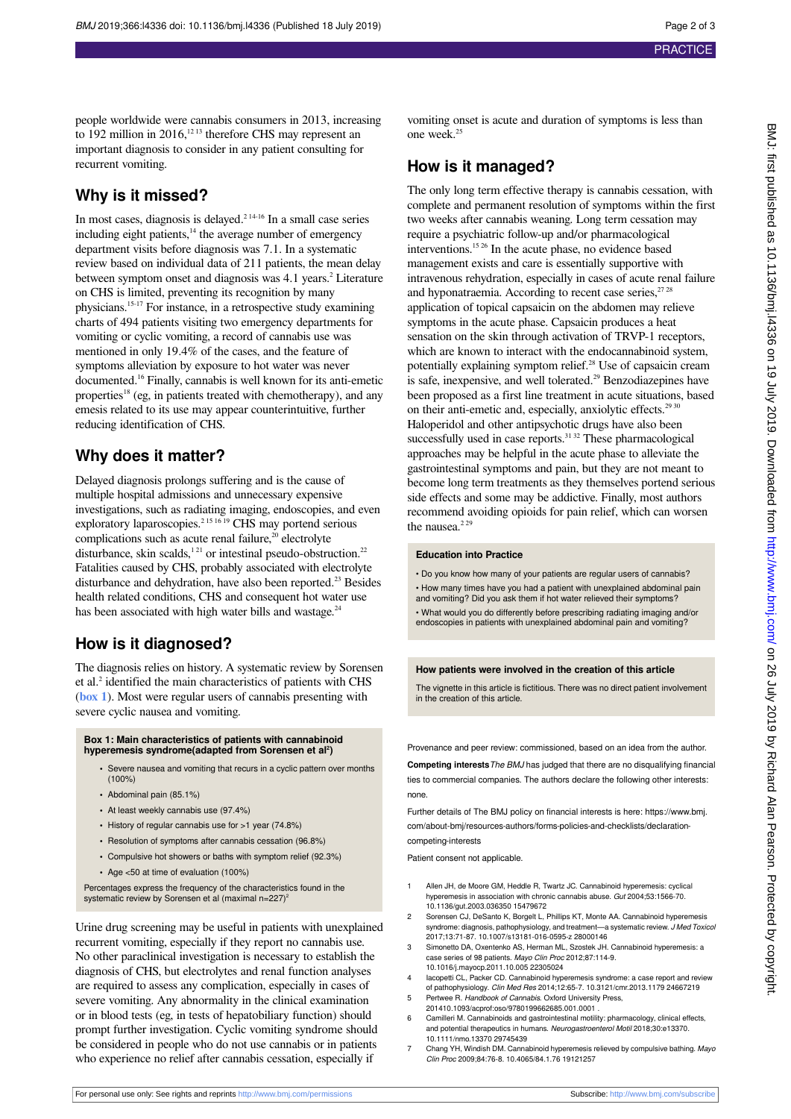people worldwide were cannabis consumers in 2013, increasing to 192 million in 2016,<sup>12 13</sup> therefore CHS may represent an important diagnosis to consider in any patient consulting for recurrent vomiting.

### **Why is it missed?**

In most cases, diagnosis is delayed.<sup>2 14-16</sup> In a small case series including eight patients, $14$  the average number of emergency department visits before diagnosis was 7.1. In a systematic review based on individual data of 211 patients, the mean delay between symptom onset and diagnosis was 4.1 years.<sup>2</sup> Literature on CHS is limited, preventing its recognition by many physicians.15-17 For instance, in a retrospective study examining charts of 494 patients visiting two emergency departments for vomiting or cyclic vomiting, a record of cannabis use was mentioned in only 19.4% of the cases, and the feature of symptoms alleviation by exposure to hot water was never documented.<sup>16</sup> Finally, cannabis is well known for its anti-emetic properties<sup>18</sup> (eg, in patients treated with chemotherapy), and any emesis related to its use may appear counterintuitive, further reducing identification of CHS.

## **Why does it matter?**

Delayed diagnosis prolongs suffering and is the cause of multiple hospital admissions and unnecessary expensive investigations, such as radiating imaging, endoscopies, and even exploratory laparoscopies.<sup>2 15 16 19</sup> CHS may portend serious complications such as acute renal failure, $20$  electrolyte disturbance, skin scalds,<sup>121</sup> or intestinal pseudo-obstruction.<sup>22</sup> Fatalities caused by CHS, probably associated with electrolyte disturbance and dehydration, have also been reported.<sup>23</sup> Besides health related conditions, CHS and consequent hot water use has been associated with high water bills and wastage.<sup>24</sup>

#### **How is it diagnosed?**

<span id="page-1-0"></span>The diagnosis relies on history. A systematic review by Sorensen et al.<sup>2</sup> identified the main characteristics of patients with CHS (**[box 1](#page-1-0)**). Most were regular users of cannabis presenting with severe cyclic nausea and vomiting.

# **Box 1: Main characteristics of patients with cannabinoid hyperemesis syndrome(adapted from Sorensen et al<sup>2</sup> )**

- **•** Severe nausea and vomiting that recurs in a cyclic pattern over months (100%)
- **•** Abdominal pain (85.1%)
- **•** At least weekly cannabis use (97.4%)
- **•** History of regular cannabis use for >1 year (74.8%)
- **•** Resolution of symptoms after cannabis cessation (96.8%)
- **•** Compulsive hot showers or baths with symptom relief (92.3%)
- **•** Age <50 at time of evaluation (100%)

Percentages express the frequency of the characteristics found in the systematic review by Sorensen et al (maximal  $n=227$ )<sup>2</sup>

Urine drug screening may be useful in patients with unexplained recurrent vomiting, especially if they report no cannabis use. No other paraclinical investigation is necessary to establish the diagnosis of CHS, but electrolytes and renal function analyses are required to assess any complication, especially in cases of severe vomiting. Any abnormality in the clinical examination or in blood tests (eg, in tests of hepatobiliary function) should prompt further investigation. Cyclic vomiting syndrome should be considered in people who do not use cannabis or in patients who experience no relief after cannabis cessation, especially if

vomiting onset is acute and duration of symptoms is less than one week.<sup>25</sup>

# **How is it managed?**

The only long term effective therapy is cannabis cessation, with complete and permanent resolution of symptoms within the first two weeks after cannabis weaning. Long term cessation may require a psychiatric follow-up and/or pharmacological interventions.15 26 In the acute phase, no evidence based management exists and care is essentially supportive with intravenous rehydration, especially in cases of acute renal failure and hyponatraemia. According to recent case series, $2728$ application of topical capsaicin on the abdomen may relieve symptoms in the acute phase. Capsaicin produces a heat sensation on the skin through activation of TRVP-1 receptors, which are known to interact with the endocannabinoid system, potentially explaining symptom relief.<sup>28</sup> Use of capsaicin cream is safe, inexpensive, and well tolerated.<sup>29</sup> Benzodiazepines have been proposed as a first line treatment in acute situations, based on their anti-emetic and, especially, anxiolytic effects.<sup>29 30</sup> Haloperidol and other antipsychotic drugs have also been successfully used in case reports.<sup>31,32</sup> These pharmacological approaches may be helpful in the acute phase to alleviate the gastrointestinal symptoms and pain, but they are not meant to become long term treatments as they themselves portend serious side effects and some may be addictive. Finally, most authors recommend avoiding opioids for pain relief, which can worsen

#### **Education into Practice**

• Do you know how many of your patients are regular users of cannabis? • How many times have you had a patient with unexplained abdominal pain and vomiting? Did you ask them if hot water relieved their symptoms? • What would you do differently before prescribing radiating imaging and/or endoscopies in patients with unexplained abdominal pain and vomiting?

#### **How patients were involved in the creation of this article**

The vignette in this article is fictitious. There was no direct patient involvement in the creation of this article.

Provenance and peer review: commissioned, based on an idea from the author.

**Competing interests**The BMJ has judged that there are no disqualifying financial ties to commercial companies. The authors declare the following other interests: none.

Further details of The BMJ policy on financial interests is here: https://www.bmj. com/about-bmj/resources-authors/forms-policies-and-checklists/declarationcompeting-interests

Patient consent not applicable.

- Allen JH, de Moore GM, Heddle R, Twartz JC. Cannabinoid hyperemesis: cyclical hyperemesis in association with chronic cannabis abuse. Gut 2004;53:1566-70. 10.1136/gut.2003.036350 15479672
- 2 Sorensen CJ, DeSanto K, Borgelt L, Phillips KT, Monte AA. Cannabinoid hyperemesis syndrome: diagnosis, pathophysiology, and treatment—a systematic review. *J Med Toxico.*<br>2017;13:71-87. 10.1007/s13181-016-0595-z 28000146
- 3 Simonetto DA, Oxentenko AS, Herman ML, Szostek JH. Cannabinoid hyperemesis: a case series of 98 patients. Mayo Clin Proc 2012;87:114-9. 10.1016/j.mayocp.2011.10.005 22305024
- lacopetti CL, Packer CD. Cannabinoid hyperemesis syndrome: a case report and review of pathophysiology. Clin Med Res 2014;12:65-7. 10.3121/cmr.2013.1179 24667219
- 5 Pertwee R. Handbook of Cannabis. Oxford University Press, 201410.1093/acprof:oso/9780199662685.001.0001 .
- 6 Camilleri M. Cannabinoids and gastrointestinal motility: pharmacology, clinical effects, and potential therapeutics in humans. Neurogastroenterol Motil 2018;30:e13370. 10.1111/nmo.13370 29745439
- 7 Chang YH, Windish DM. Cannabinoid hyperemesis relieved by compulsive bathing. Mayo Clin Proc 2009;84:76-8. 10.4065/84.1.76 19121257

the nausea. $2^{29}$